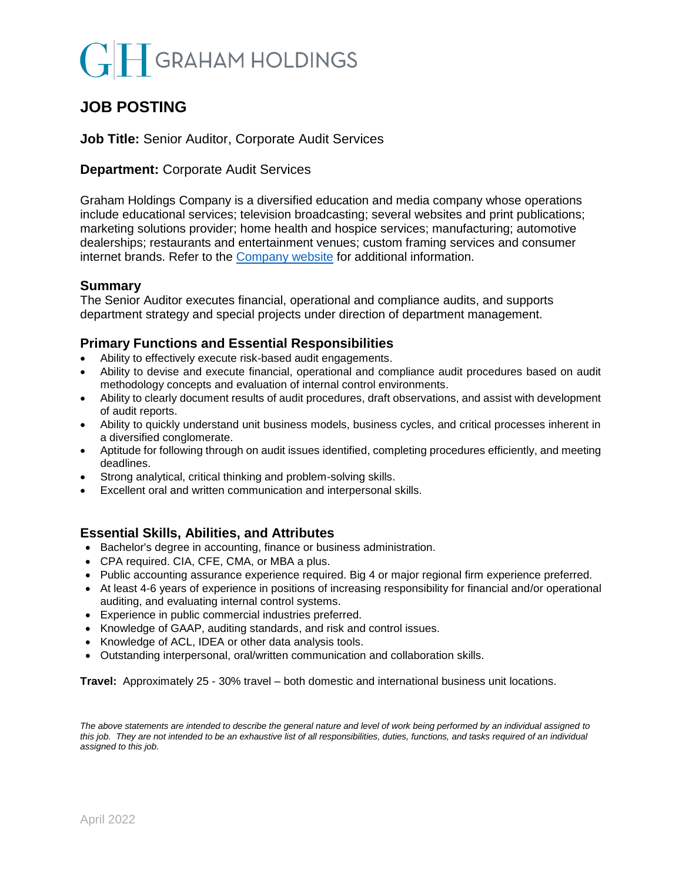# **GRAHAM HOLDINGS**

# **JOB POSTING**

### **Job Title:** Senior Auditor, Corporate Audit Services

## **Department: Corporate Audit Services**

Graham Holdings Company is a diversified education and media company whose operations include educational services; television broadcasting; several websites and print publications; marketing solutions provider; home health and hospice services; manufacturing; automotive dealerships; restaurants and entertainment venues; custom framing services and consumer internet brands. Refer to the [Company website](mailto:https://www.ghco.com/) for additional information.

### **Summary**

The Senior Auditor executes financial, operational and compliance audits, and supports department strategy and special projects under direction of department management.

# **Primary Functions and Essential Responsibilities**

- Ability to effectively execute risk-based audit engagements.
- Ability to devise and execute financial, operational and compliance audit procedures based on audit methodology concepts and evaluation of internal control environments.
- Ability to clearly document results of audit procedures, draft observations, and assist with development of audit reports.
- Ability to quickly understand unit business models, business cycles, and critical processes inherent in a diversified conglomerate.
- Aptitude for following through on audit issues identified, completing procedures efficiently, and meeting deadlines.
- Strong analytical, critical thinking and problem-solving skills.
- Excellent oral and written communication and interpersonal skills.

#### **Essential Skills, Abilities, and Attributes**

- Bachelor's degree in accounting, finance or business administration.
- CPA required. CIA, CFE, CMA, or MBA a plus.
- Public accounting assurance experience required. Big 4 or major regional firm experience preferred.
- At least 4-6 years of experience in positions of increasing responsibility for financial and/or operational auditing, and evaluating internal control systems.
- Experience in public commercial industries preferred.
- Knowledge of GAAP, auditing standards, and risk and control issues.
- Knowledge of ACL, IDEA or other data analysis tools.
- Outstanding interpersonal, oral/written communication and collaboration skills.

**Travel:** Approximately 25 - 30% travel – both domestic and international business unit locations.

*The above statements are intended to describe the general nature and level of work being performed by an individual assigned to this job. They are not intended to be an exhaustive list of all responsibilities, duties, functions, and tasks required of an individual assigned to this job*.